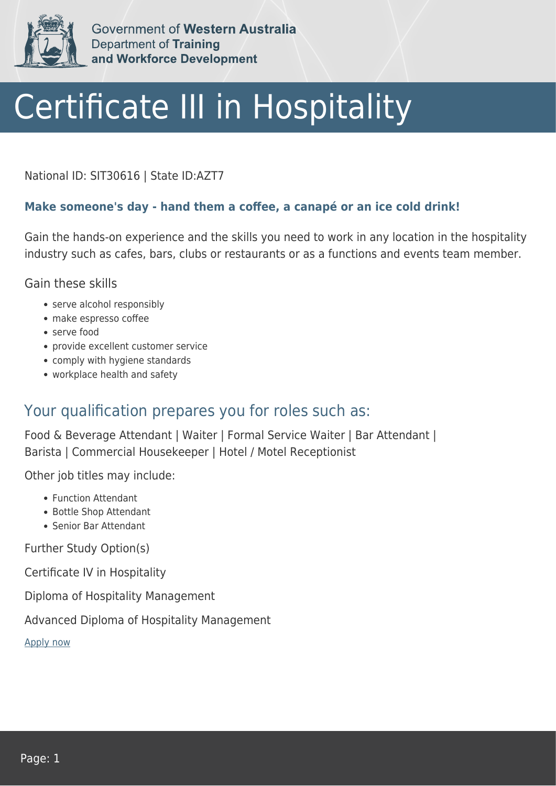

Government of Western Australia **Department of Training** and Workforce Development

## Certificate III in Hospitality

National ID: SIT30616 | State ID:AZT7

## **Make someone's day - hand them a coffee, a canapé or an ice cold drink!**

Gain the hands-on experience and the skills you need to work in any location in the hospitality industry such as cafes, bars, clubs or restaurants or as a functions and events team member.

Gain these skills

- serve alcohol responsibly
- make espresso coffee
- serve food
- provide excellent customer service
- comply with hygiene standards
- workplace health and safety

## Your qualification prepares you for roles such as:

Food & Beverage Attendant | Waiter | Formal Service Waiter | Bar Attendant | Barista | Commercial Housekeeper | Hotel / Motel Receptionist

Other job titles may include:

- Function Attendant
- Bottle Shop Attendant
- Senior Bar Attendant

Further Study Option(s)

Certificate IV in Hospitality

Diploma of Hospitality Management

Advanced Diploma of Hospitality Management

[Apply now](https://tasonline.tafe.wa.edu.au/Default.aspx)